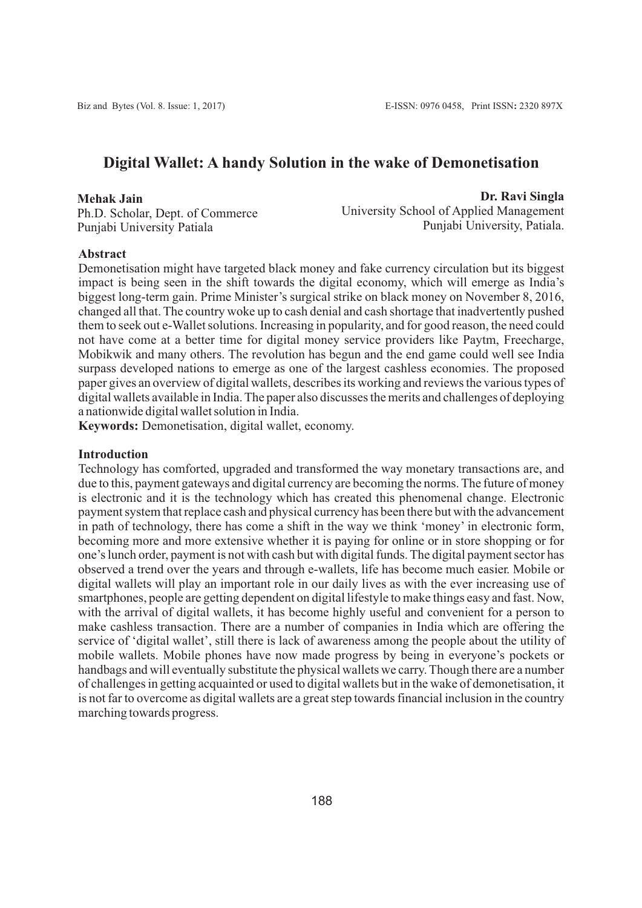# **Digital Wallet: A handy Solution in the wake of Demonetisation**

#### **Mehak Jain**

Ph.D. Scholar, Dept. of Commerce Punjabi University Patiala

 **Dr. Ravi Singla** University School of Applied Management Punjabi University, Patiala.

### **Abstract**

Demonetisation might have targeted black money and fake currency circulation but its biggest impact is being seen in the shift towards the digital economy, which will emerge as India's biggest long-term gain. Prime Minister's surgical strike on black money on November 8, 2016, changed all that. The country woke up to cash denial and cash shortage that inadvertently pushed them to seek out e-Wallet solutions. Increasing in popularity, and for good reason, the need could not have come at a better time for digital money service providers like Paytm, Freecharge, Mobikwik and many others. The revolution has begun and the end game could well see India surpass developed nations to emerge as one of the largest cashless economies. The proposed paper gives an overview of digital wallets, describes its working and reviews the various types of digital wallets available in India. The paper also discusses the merits and challenges of deploying a nationwide digital wallet solution in India.

**Keywords:** Demonetisation, digital wallet, economy.

### **Introduction**

Technology has comforted, upgraded and transformed the way monetary transactions are, and due to this, payment gateways and digital currency are becoming the norms. The future of money is electronic and it is the technology which has created this phenomenal change. Electronic payment system that replace cash and physical currency has been there but with the advancement in path of technology, there has come a shift in the way we think 'money' in electronic form, becoming more and more extensive whether it is paying for online or in store shopping or for one's lunch order, payment is not with cash but with digital funds. The digital payment sector has observed a trend over the years and through e-wallets, life has become much easier. Mobile or digital wallets will play an important role in our daily lives as with the ever increasing use of smartphones, people are getting dependent on digital lifestyle to make things easy and fast. Now, with the arrival of digital wallets, it has become highly useful and convenient for a person to make cashless transaction. There are a number of companies in India which are offering the service of 'digital wallet', still there is lack of awareness among the people about the utility of mobile wallets. Mobile phones have now made progress by being in everyone's pockets or handbags and will eventually substitute the physical wallets we carry. Though there are a number of challenges in getting acquainted or used to digital wallets but in the wake of demonetisation, it is not far to overcome as digital wallets are a great step towards financial inclusion in the country marching towards progress.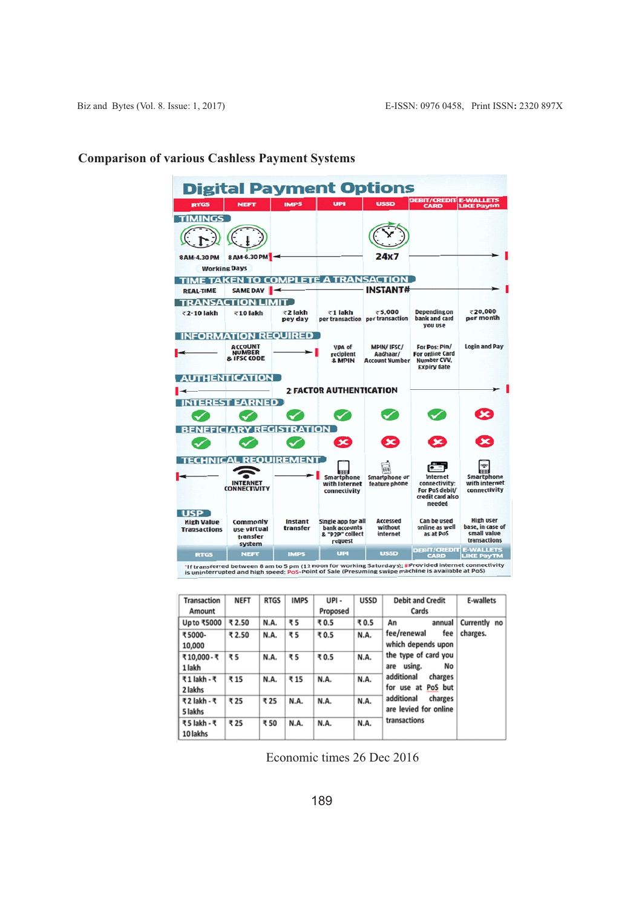| <b>DEBIT/CREDIT E-WALLETS</b><br><b>USSD</b><br><b>IMPS</b><br><b>UPI</b><br><b>NEFT</b><br><b>RTGS</b><br><b>LIKE Paytm</b><br><b>CARD</b><br><b>TIMINGS</b><br>8 AM-6.30 PM<br>24x7<br>8 AM-4.30 PM<br><b>Working Days</b><br>TIME TAKEN TO COMPLETE A TRANSACTION<br><b>INSTANT#</b><br>SAME DAY <b>4</b><br><b>REAL-TIME</b><br><b>TRANSACTION LIMIT</b><br>₹20,000<br><b>Depending on</b><br>₹5,000<br>₹1 lakh<br>₹10 lakh<br>₹2 lakh<br>₹2-10 lakh<br>bank and card<br>per month<br>per transaction per transaction<br>pey day<br><b>VOU USE</b><br><b>INFORMATION REQUIRED</b><br><b>Login and Pay</b><br>For Pos: Pin/<br><b>ACCOUNT</b><br><b>MPIN/IFSC/</b><br>VPA of<br><b>NUMBER</b><br><b>For online Card</b><br>recipient<br>Aadhaar/<br>& IFSC CODE<br>Number CVV.<br><b>Account Number</b><br>& MPIN<br><b>Expiry date</b><br><b>AUTHENTICATION</b><br><b>2 FACTOR AUTHENTICATION</b><br><b>INTEREST EARNED</b><br><b>BENEFICIARY REGISTRATION</b><br>×<br>≍<br><b>TECHNICAL REQUIREMENT</b><br>Smartphone<br><b>Smartphone or</b><br><b>Internet</b><br>Smartphone<br>with internet<br><b>INTERNET</b><br>feature phone<br>connectivity:<br>with Internet<br><b>CONNECTIVITY</b><br>connectivity<br>For PoS debit/<br>connectivity<br>credit card also<br>needed<br><b>USP</b><br>Can be used<br><b>High user</b><br>Accessed<br>Single app for all<br><b>High Value</b><br>Instant<br><b>Commonly</b><br>online as well<br>base, in case of<br>bank accounts<br>without<br>transfer<br>use virtual<br><b>Transactions</b><br>small value<br>as at PoS<br>& "P2P" collect<br>internet<br>transfer<br>transactions<br>request<br>system<br><b>DEBIT/CREDIT E-WALLETS</b><br><b>USSD</b><br><b>UPI</b><br><b>IMPS</b><br><b>RTGS</b><br><b>NEFT</b><br><b>LIKE PAYTM</b><br><b>CARD</b><br>"If transferred between 8 am to 5 pm (12 noon for working Saturdays); #Provided internet connectivity | <b>Digital Payment Options</b> |  |  |  |  |  |  |  |  |  |  |  |
|-----------------------------------------------------------------------------------------------------------------------------------------------------------------------------------------------------------------------------------------------------------------------------------------------------------------------------------------------------------------------------------------------------------------------------------------------------------------------------------------------------------------------------------------------------------------------------------------------------------------------------------------------------------------------------------------------------------------------------------------------------------------------------------------------------------------------------------------------------------------------------------------------------------------------------------------------------------------------------------------------------------------------------------------------------------------------------------------------------------------------------------------------------------------------------------------------------------------------------------------------------------------------------------------------------------------------------------------------------------------------------------------------------------------------------------------------------------------------------------------------------------------------------------------------------------------------------------------------------------------------------------------------------------------------------------------------------------------------------------------------------------------------------------------------------------------------------------------------------------------------------------------------------------------|--------------------------------|--|--|--|--|--|--|--|--|--|--|--|
|                                                                                                                                                                                                                                                                                                                                                                                                                                                                                                                                                                                                                                                                                                                                                                                                                                                                                                                                                                                                                                                                                                                                                                                                                                                                                                                                                                                                                                                                                                                                                                                                                                                                                                                                                                                                                                                                                                                 |                                |  |  |  |  |  |  |  |  |  |  |  |
|                                                                                                                                                                                                                                                                                                                                                                                                                                                                                                                                                                                                                                                                                                                                                                                                                                                                                                                                                                                                                                                                                                                                                                                                                                                                                                                                                                                                                                                                                                                                                                                                                                                                                                                                                                                                                                                                                                                 |                                |  |  |  |  |  |  |  |  |  |  |  |
|                                                                                                                                                                                                                                                                                                                                                                                                                                                                                                                                                                                                                                                                                                                                                                                                                                                                                                                                                                                                                                                                                                                                                                                                                                                                                                                                                                                                                                                                                                                                                                                                                                                                                                                                                                                                                                                                                                                 |                                |  |  |  |  |  |  |  |  |  |  |  |
|                                                                                                                                                                                                                                                                                                                                                                                                                                                                                                                                                                                                                                                                                                                                                                                                                                                                                                                                                                                                                                                                                                                                                                                                                                                                                                                                                                                                                                                                                                                                                                                                                                                                                                                                                                                                                                                                                                                 |                                |  |  |  |  |  |  |  |  |  |  |  |
|                                                                                                                                                                                                                                                                                                                                                                                                                                                                                                                                                                                                                                                                                                                                                                                                                                                                                                                                                                                                                                                                                                                                                                                                                                                                                                                                                                                                                                                                                                                                                                                                                                                                                                                                                                                                                                                                                                                 |                                |  |  |  |  |  |  |  |  |  |  |  |
|                                                                                                                                                                                                                                                                                                                                                                                                                                                                                                                                                                                                                                                                                                                                                                                                                                                                                                                                                                                                                                                                                                                                                                                                                                                                                                                                                                                                                                                                                                                                                                                                                                                                                                                                                                                                                                                                                                                 |                                |  |  |  |  |  |  |  |  |  |  |  |
|                                                                                                                                                                                                                                                                                                                                                                                                                                                                                                                                                                                                                                                                                                                                                                                                                                                                                                                                                                                                                                                                                                                                                                                                                                                                                                                                                                                                                                                                                                                                                                                                                                                                                                                                                                                                                                                                                                                 |                                |  |  |  |  |  |  |  |  |  |  |  |
|                                                                                                                                                                                                                                                                                                                                                                                                                                                                                                                                                                                                                                                                                                                                                                                                                                                                                                                                                                                                                                                                                                                                                                                                                                                                                                                                                                                                                                                                                                                                                                                                                                                                                                                                                                                                                                                                                                                 |                                |  |  |  |  |  |  |  |  |  |  |  |
|                                                                                                                                                                                                                                                                                                                                                                                                                                                                                                                                                                                                                                                                                                                                                                                                                                                                                                                                                                                                                                                                                                                                                                                                                                                                                                                                                                                                                                                                                                                                                                                                                                                                                                                                                                                                                                                                                                                 |                                |  |  |  |  |  |  |  |  |  |  |  |
|                                                                                                                                                                                                                                                                                                                                                                                                                                                                                                                                                                                                                                                                                                                                                                                                                                                                                                                                                                                                                                                                                                                                                                                                                                                                                                                                                                                                                                                                                                                                                                                                                                                                                                                                                                                                                                                                                                                 |                                |  |  |  |  |  |  |  |  |  |  |  |
|                                                                                                                                                                                                                                                                                                                                                                                                                                                                                                                                                                                                                                                                                                                                                                                                                                                                                                                                                                                                                                                                                                                                                                                                                                                                                                                                                                                                                                                                                                                                                                                                                                                                                                                                                                                                                                                                                                                 |                                |  |  |  |  |  |  |  |  |  |  |  |
|                                                                                                                                                                                                                                                                                                                                                                                                                                                                                                                                                                                                                                                                                                                                                                                                                                                                                                                                                                                                                                                                                                                                                                                                                                                                                                                                                                                                                                                                                                                                                                                                                                                                                                                                                                                                                                                                                                                 |                                |  |  |  |  |  |  |  |  |  |  |  |
|                                                                                                                                                                                                                                                                                                                                                                                                                                                                                                                                                                                                                                                                                                                                                                                                                                                                                                                                                                                                                                                                                                                                                                                                                                                                                                                                                                                                                                                                                                                                                                                                                                                                                                                                                                                                                                                                                                                 |                                |  |  |  |  |  |  |  |  |  |  |  |
|                                                                                                                                                                                                                                                                                                                                                                                                                                                                                                                                                                                                                                                                                                                                                                                                                                                                                                                                                                                                                                                                                                                                                                                                                                                                                                                                                                                                                                                                                                                                                                                                                                                                                                                                                                                                                                                                                                                 |                                |  |  |  |  |  |  |  |  |  |  |  |
|                                                                                                                                                                                                                                                                                                                                                                                                                                                                                                                                                                                                                                                                                                                                                                                                                                                                                                                                                                                                                                                                                                                                                                                                                                                                                                                                                                                                                                                                                                                                                                                                                                                                                                                                                                                                                                                                                                                 |                                |  |  |  |  |  |  |  |  |  |  |  |
|                                                                                                                                                                                                                                                                                                                                                                                                                                                                                                                                                                                                                                                                                                                                                                                                                                                                                                                                                                                                                                                                                                                                                                                                                                                                                                                                                                                                                                                                                                                                                                                                                                                                                                                                                                                                                                                                                                                 |                                |  |  |  |  |  |  |  |  |  |  |  |
|                                                                                                                                                                                                                                                                                                                                                                                                                                                                                                                                                                                                                                                                                                                                                                                                                                                                                                                                                                                                                                                                                                                                                                                                                                                                                                                                                                                                                                                                                                                                                                                                                                                                                                                                                                                                                                                                                                                 |                                |  |  |  |  |  |  |  |  |  |  |  |
|                                                                                                                                                                                                                                                                                                                                                                                                                                                                                                                                                                                                                                                                                                                                                                                                                                                                                                                                                                                                                                                                                                                                                                                                                                                                                                                                                                                                                                                                                                                                                                                                                                                                                                                                                                                                                                                                                                                 |                                |  |  |  |  |  |  |  |  |  |  |  |
|                                                                                                                                                                                                                                                                                                                                                                                                                                                                                                                                                                                                                                                                                                                                                                                                                                                                                                                                                                                                                                                                                                                                                                                                                                                                                                                                                                                                                                                                                                                                                                                                                                                                                                                                                                                                                                                                                                                 |                                |  |  |  |  |  |  |  |  |  |  |  |
|                                                                                                                                                                                                                                                                                                                                                                                                                                                                                                                                                                                                                                                                                                                                                                                                                                                                                                                                                                                                                                                                                                                                                                                                                                                                                                                                                                                                                                                                                                                                                                                                                                                                                                                                                                                                                                                                                                                 |                                |  |  |  |  |  |  |  |  |  |  |  |

# **Comparison of various Cashless Payment Systems**

'If transferred between 8 am to 5 pm (12 noon for working Saturdays); #Provided internet connec<br>Is uninterrupted and high speed; PoS-Point of Sale (Presuming swipe machine is available at PoS)

| <b>Transaction</b><br>Amount | <b>NEFT</b> | <b>RTGS</b> | <b>IMPS</b> | UPI-<br>Proposed | <b>USSD</b> | <b>Debit and Credit</b><br>Cards               | <b>E-wallets</b> |  |
|------------------------------|-------------|-------------|-------------|------------------|-------------|------------------------------------------------|------------------|--|
| Up to ₹5000                  | ₹ 2.50      | N.A.        | ₹5          | ₹0.5             | ₹0.5        | An<br>annual                                   | Currently no     |  |
| ₹5000-<br>10,000             | ₹2.50       | N.A.        | ₹5          | ₹0.5             | N.A.        | fee/renewal<br>fee<br>which depends upon       | charges.         |  |
| ₹10,000 - ₹<br>1 lakh        | ₹5          | N.A.        | ₹5          | ₹0.5             | N.A.        | the type of card you<br>using.<br>No<br>are    |                  |  |
| ₹1 lakh - ₹<br>2 lakhs       | ₹15         | N.A.        | ₹15         | N.A.             | N.A.        | additional<br>charges<br>PoS but<br>for use at |                  |  |
| ₹2 lakh - ₹<br>5 lakhs       | ₹25         | ₹25         | N.A.        | N.A.             | N.A.        | additional<br>charges<br>are levied for online |                  |  |
| ₹5 lakh - ₹<br>10 lakhs      | ₹25         | ₹ 50        | N.A.        | N.A.             | N.A.        | transactions                                   |                  |  |

Economic times 26 Dec 2016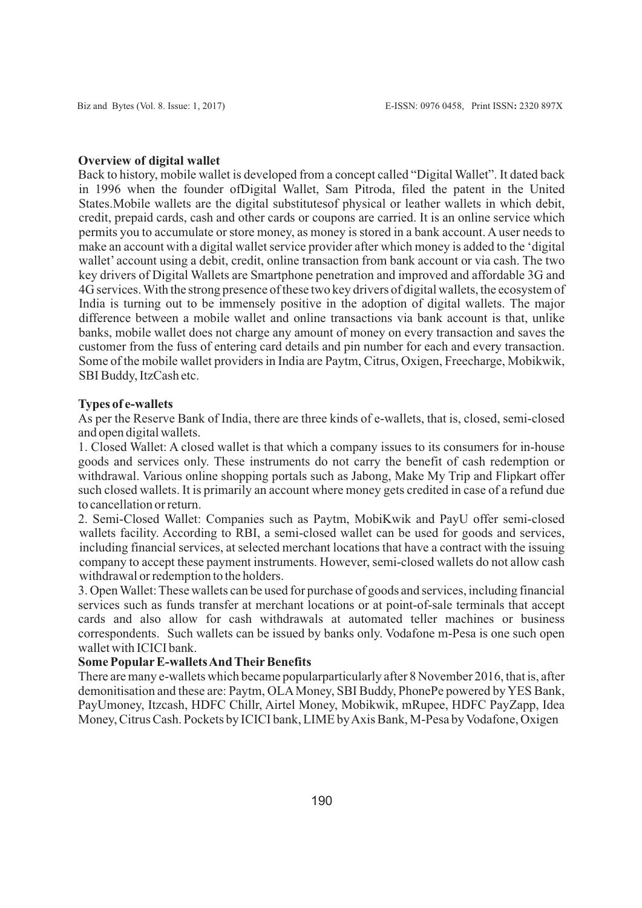#### **Overview of digital wallet**

Back to history, mobile wallet is developed from a concept called "Digital Wallet". It dated back in 1996 when the founder ofDigital Wallet, Sam Pitroda, filed the patent in the United States.Mobile wallets are the digital substitutesof physical or leather wallets in which debit, credit, prepaid cards, cash and other cards or coupons are carried. It is an online service which permits you to accumulate or store money, as money is stored in a bank account. Auser needs to make an account with a digital wallet service provider after which money is added to the 'digital wallet' account using a debit, credit, online transaction from bank account or via cash. The two key drivers of Digital Wallets are Smartphone penetration and improved and affordable 3G and 4G services. With the strong presence of these two key drivers of digital wallets, the ecosystem of India is turning out to be immensely positive in the adoption of digital wallets. The major difference between a mobile wallet and online transactions via bank account is that, unlike banks, mobile wallet does not charge any amount of money on every transaction and saves the customer from the fuss of entering card details and pin number for each and every transaction. Some of the mobile wallet providers in India are Paytm, Citrus, Oxigen, Freecharge, Mobikwik, SBI Buddy, ItzCash etc.

#### **Types of e-wallets**

As per the Reserve Bank of India, there are three kinds of e-wallets, that is, closed, semi-closed and open digital wallets.

1. Closed Wallet: A closed wallet is that which a company issues to its consumers for in-house goods and services only. These instruments do not carry the benefit of cash redemption or withdrawal. Various online shopping portals such as Jabong, Make My Trip and Flipkart offer such closed wallets. It is primarily an account where money gets credited in case of a refund due to cancellation or return.

2. Semi-Closed Wallet: Companies such as Paytm, MobiKwik and PayU offer semi-closed wallets facility. According to RBI, a semi-closed wallet can be used for goods and services, including financial services, at selected merchant locations that have a contract with the issuing company to accept these payment instruments. However, semi-closed wallets do not allow cash withdrawal or redemption to the holders.

3. Open Wallet: These wallets can be used for purchase of goods and services, including financial services such as funds transfer at merchant locations or at point-of-sale terminals that accept cards and also allow for cash withdrawals at automated teller machines or business correspondents. Such wallets can be issued by banks only. Vodafone m-Pesa is one such open wallet with ICICI bank.

#### **Some Popular E-wallets And Their Benefits**

There are many e-wallets which became popularparticularly after 8 November 2016, that is, after demonitisation and these are: Paytm, OLAMoney, SBI Buddy, PhonePe powered by YES Bank, PayUmoney, Itzcash, HDFC Chillr, Airtel Money, Mobikwik, mRupee, HDFC PayZapp, Idea Money, Citrus Cash. Pockets by ICICI bank, LIME by Axis Bank, M-Pesa by Vodafone, Oxigen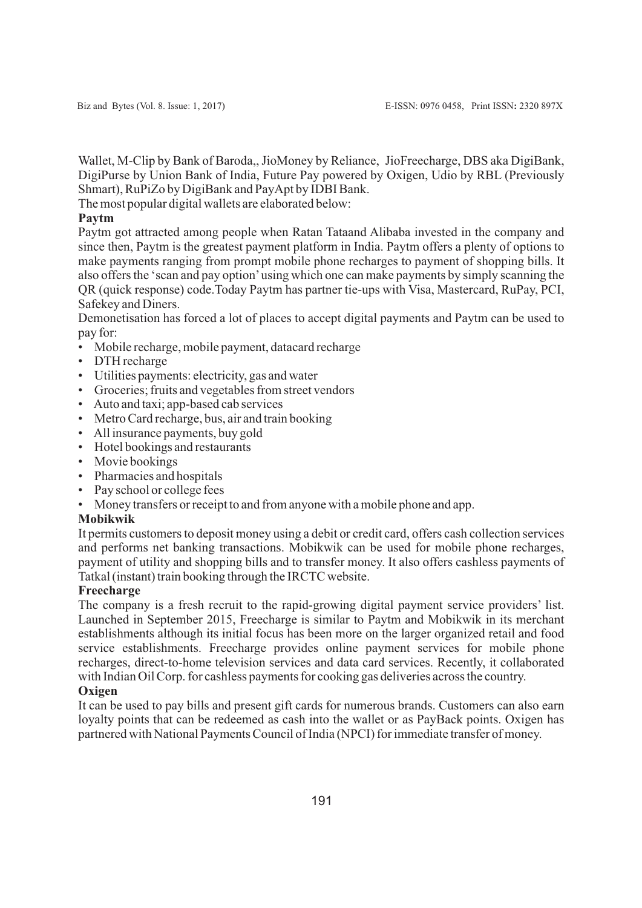Wallet, M-Clip by Bank of Baroda,, JioMoney by Reliance, JioFreecharge, DBS aka DigiBank, DigiPurse by Union Bank of India, Future Pay powered by Oxigen, Udio by RBL (Previously Shmart), RuPiZo by DigiBank and PayApt by IDBI Bank.

The most popular digital wallets are elaborated below:

### **Paytm**

Paytm got attracted among people when Ratan Tataand Alibaba invested in the company and since then, Paytm is the greatest payment platform in India. Paytm offers a plenty of options to make payments ranging from prompt mobile phone recharges to payment of shopping bills. It also offers the 'scan and pay option'using which one can make payments by simply scanning the QR (quick response) code.Today Paytm has partner tie-ups with Visa, Mastercard, RuPay, PCI, Safekey and Diners.

Demonetisation has forced a lot of places to accept digital payments and Paytm can be used to pay for:

- Mobile recharge, mobile payment, datacard recharge
- DTH recharge
- Utilities payments: electricity, gas and water
- Groceries; fruits and vegetables from street vendors
- Auto and taxi; app-based cab services
- Metro Card recharge, bus, air and train booking
- All insurance payments, buy gold
- Hotel bookings and restaurants
- Movie bookings
- Pharmacies and hospitals
- Pay school or college fees
- Money transfers or receipt to and from anyone with a mobile phone and app.

### **Mobikwik**

It permits customers to deposit money using a debit or credit card, offers cash collection services and performs net banking transactions. Mobikwik can be used for mobile phone recharges, payment of utility and shopping bills and to transfer money. It also offers cashless payments of Tatkal (instant) train booking through the IRCTC website.

#### **Freecharge**

The company is a fresh recruit to the rapid-growing digital payment service providers' list. Launched in September 2015, Freecharge is similar to Paytm and Mobikwik in its merchant establishments although its initial focus has been more on the larger organized retail and food service establishments. Freecharge provides online payment services for mobile phone recharges, direct-to-home television services and data card services. Recently, it collaborated with Indian Oil Corp. for cashless payments for cooking gas deliveries across the country.

### **Oxigen**

It can be used to pay bills and present gift cards for numerous brands. Customers can also earn loyalty points that can be redeemed as cash into the wallet or as PayBack points. Oxigen has partnered with National Payments Council of India (NPCI) for immediate transfer of money.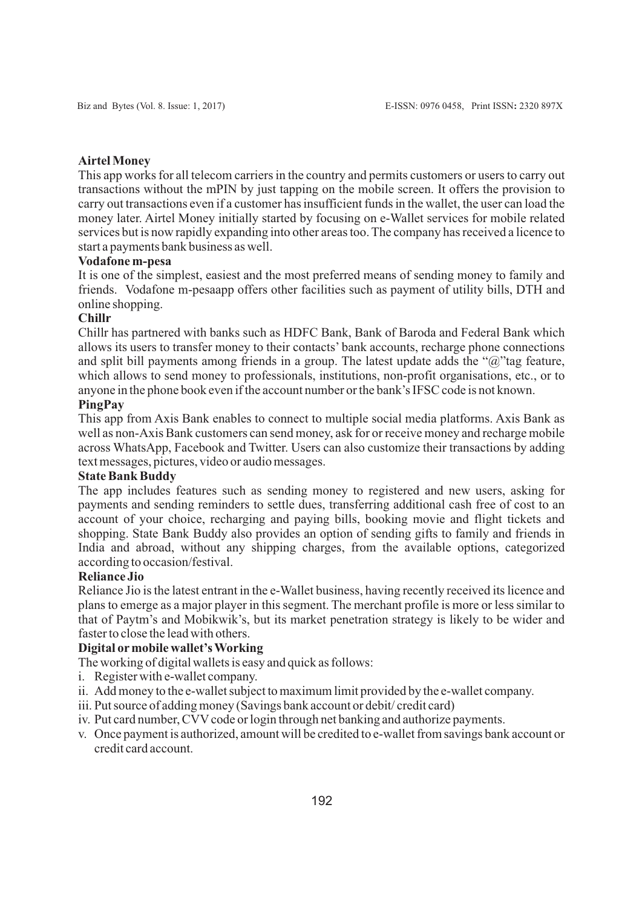### **Airtel Money**

This app works for all telecom carriers in the country and permits customers or users to carry out transactions without the mPIN by just tapping on the mobile screen. It offers the provision to carry out transactions even if a customer has insufficient funds in the wallet, the user can load the money later. Airtel Money initially started by focusing on e-Wallet services for mobile related services but is now rapidly expanding into other areas too. The company has received a licence to start a payments bank business as well.

### **Vodafone m-pesa**

It is one of the simplest, easiest and the most preferred means of sending money to family and friends. Vodafone m-pesaapp offers other facilities such as payment of utility bills, DTH and online shopping.

### **Chillr**

Chillr has partnered with banks such as HDFC Bank, Bank of Baroda and Federal Bank which allows its users to transfer money to their contacts' bank accounts, recharge phone connections and split bill payments among friends in a group. The latest update adds the " $\hat{a}$ "tag feature, which allows to send money to professionals, institutions, non-profit organisations, etc., or to anyone in the phone book even if the account number or the bank's IFSC code is not known.

#### **PingPay**

This app from Axis Bank enables to connect to multiple social media platforms. Axis Bank as well as non-Axis Bank customers can send money, ask for or receive money and recharge mobile across WhatsApp, Facebook and Twitter. Users can also customize their transactions by adding text messages, pictures, video or audio messages.

### **State Bank Buddy**

The app includes features such as sending money to registered and new users, asking for payments and sending reminders to settle dues, transferring additional cash free of cost to an account of your choice, recharging and paying bills, booking movie and flight tickets and shopping. State Bank Buddy also provides an option of sending gifts to family and friends in India and abroad, without any shipping charges, from the available options, categorized according to occasion/festival.

### **Reliance Jio**

Reliance Jio is the latest entrant in the e-Wallet business, having recently received its licence and plans to emerge as a major player in this segment. The merchant profile is more or less similar to that of Paytm's and Mobikwik's, but its market penetration strategy is likely to be wider and faster to close the lead with others.

#### **Digital ormobile wallet's Working**

The working of digital wallets is easy and quick as follows:

- i. Register with e-wallet company.
- ii. Add money to the e-wallet subject to maximum limit provided by the e-wallet company.
- iii. Put source of adding money (Savings bank account or debit/ credit card)
- iv. Put card number, CVV code or login through net banking and authorize payments.
- v. Once payment is authorized, amount will be credited to e-wallet from savings bank account or credit card account.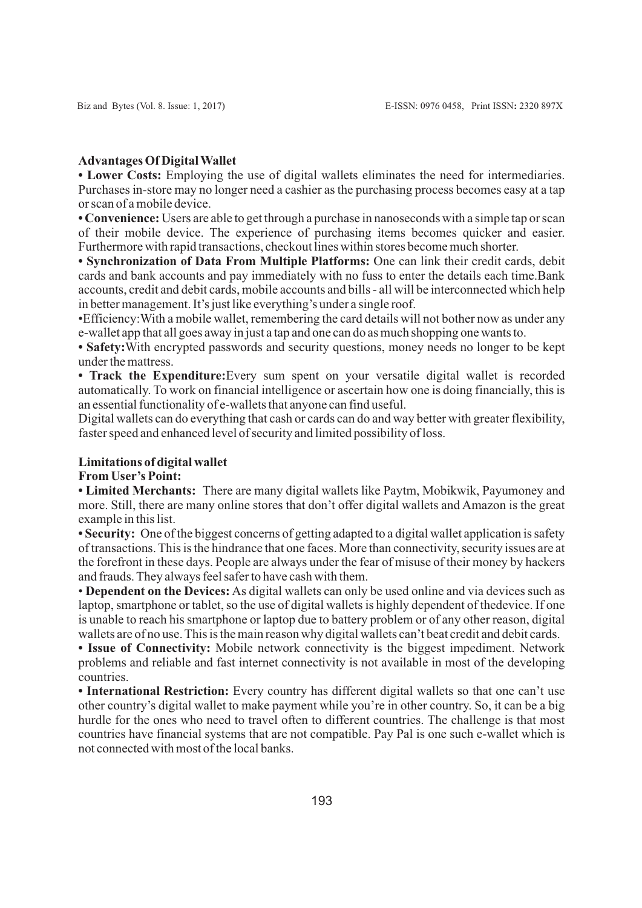# **Advantages Of Digital Wallet**

**• Lower Costs:** Employing the use of digital wallets eliminates the need for intermediaries. Purchases in-store may no longer need a cashier as the purchasing process becomes easy at a tap or scan of a mobile device.

**• Convenience:** Users are able to get through a purchase in nanoseconds with a simple tap or scan of their mobile device. The experience of purchasing items becomes quicker and easier. Furthermore with rapid transactions, checkout lines within stores become much shorter.

**• Synchronization of Data From Multiple Platforms:** One can link their credit cards, debit cards and bank accounts and pay immediately with no fuss to enter the details each time.Bank accounts, credit and debit cards, mobile accounts and bills - all will be interconnected which help in better management. It's just like everything's under a single roof.

• Efficiency:With a mobile wallet, remembering the card details will not bother now as under any e-wallet app that all goes away in just a tap and one can do as much shopping one wants to.

**• Safety:**With encrypted passwords and security questions, money needs no longer to be kept under the mattress.

**• Track the Expenditure:**Every sum spent on your versatile digital wallet is recorded automatically. To work on financial intelligence or ascertain how one is doing financially, this is an essential functionality of e-wallets that anyone can find useful.

Digital wallets can do everything that cash or cards can do and way better with greater flexibility, faster speed and enhanced level of security and limited possibility of loss.

# **Limitations of digital wallet**

### **From User's Point:**

**• Limited Merchants:** There are many digital wallets like Paytm, Mobikwik, Payumoney and more. Still, there are many online stores that don't offer digital wallets and Amazon is the great example in this list.

**• Security:** One of the biggest concerns of getting adapted to a digital wallet application is safety of transactions. This is the hindrance that one faces. More than connectivity, security issues are at the forefront in these days. People are always under the fear of misuse of their money by hackers and frauds. They always feel safer to have cash with them.

• **Dependent on the Devices:** As digital wallets can only be used online and via devices such as laptop, smartphone or tablet, so the use of digital wallets is highly dependent of thedevice. If one is unable to reach his smartphone or laptop due to battery problem or of any other reason, digital wallets are of no use. This is the main reason why digital wallets can't beat credit and debit cards.

**• Issue of Connectivity:** Mobile network connectivity is the biggest impediment. Network problems and reliable and fast internet connectivity is not available in most of the developing countries.

**• International Restriction:** Every country has different digital wallets so that one can't use other country's digital wallet to make payment while you're in other country. So, it can be a big hurdle for the ones who need to travel often to different countries. The challenge is that most countries have financial systems that are not compatible. Pay Pal is one such e-wallet which is not connected with most of the local banks.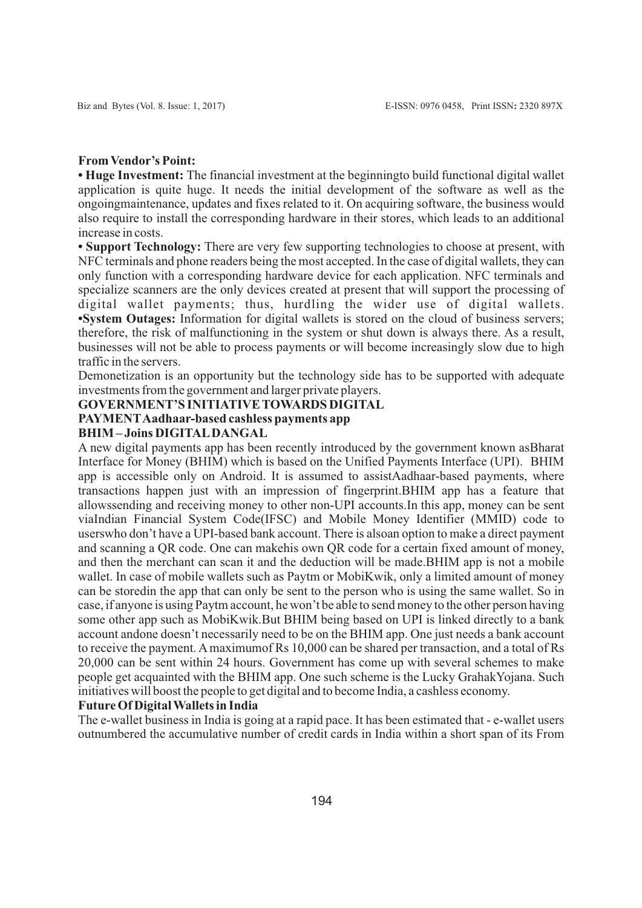#### **From Vendor's Point:**

**• Huge Investment:** The financial investment at the beginningto build functional digital wallet application is quite huge. It needs the initial development of the software as well as the ongoingmaintenance, updates and fixes related to it. On acquiring software, the business would also require to install the corresponding hardware in their stores, which leads to an additional increase in costs.

• **Support Technology:** There are very few supporting technologies to choose at present, with NFC terminals and phone readers being the most accepted. In the case of digital wallets, they can only function with a corresponding hardware device for each application. NFC terminals and specialize scanners are the only devices created at present that will support the processing of digital wallet payments; thus, hurdling the wider use of digital wallets. **• System Outages:** Information for digital wallets is stored on the cloud of business servers; therefore, the risk of malfunctioning in the system or shut down is always there. As a result, businesses will not be able to process payments or will become increasingly slow due to high traffic in the servers.

Demonetization is an opportunity but the technology side has to be supported with adequate investments from the government and larger private players.

#### **GOVERNMENT'S INITIATIVE TOWARDS DIGITAL**

# **PAYMENTAadhaar-based cashless payments app**

### **BHIM – Joins DIGITALDANGAL**

A new digital payments app has been recently introduced by the government known asBharat Interface for Money (BHIM) which is based on the Unified Payments Interface (UPI). BHIM app is accessible only on Android. It is assumed to assistAadhaar-based payments, where transactions happen just with an impression of fingerprint.BHIM app has a feature that allowssending and receiving money to other non-UPI accounts.In this app, money can be sent viaIndian Financial System Code(IFSC) and Mobile Money Identifier (MMID) code to userswho don't have a UPI-based bank account. There is alsoan option to make a direct payment and scanning a QR code. One can makehis own QR code for a certain fixed amount of money, and then the merchant can scan it and the deduction will be made.BHIM app is not a mobile wallet. In case of mobile wallets such as Paytm or MobiKwik, only a limited amount of money can be storedin the app that can only be sent to the person who is using the same wallet. So in case, if anyone is using Paytm account, he won't be able to send money to the other person having some other app such as MobiKwik.But BHIM being based on UPI is linked directly to a bank account andone doesn't necessarily need to be on the BHIM app. One just needs a bank account to receive the payment. Amaximumof Rs 10,000 can be shared per transaction, and a total of Rs 20,000 can be sent within 24 hours. Government has come up with several schemes to make people get acquainted with the BHIM app. One such scheme is the Lucky GrahakYojana. Such initiatives will boost the people to get digital and to become India, a cashless economy.

### **Future Of Digital Wallets in India**

The e-wallet business in India is going at a rapid pace. It has been estimated that - e-wallet users outnumbered the accumulative number of credit cards in India within a short span of its From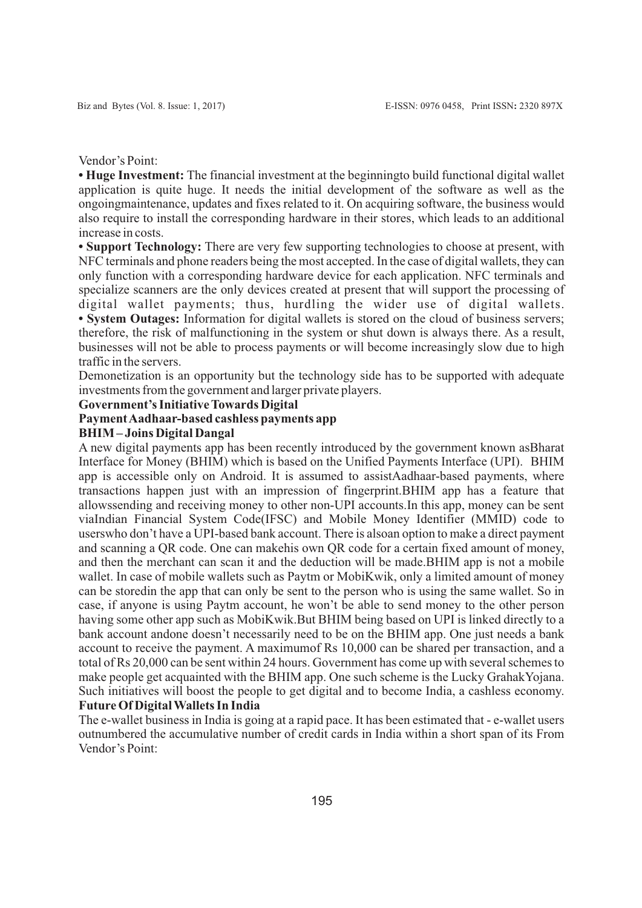Vendor's Point:

**• Huge Investment:** The financial investment at the beginningto build functional digital wallet application is quite huge. It needs the initial development of the software as well as the ongoingmaintenance, updates and fixes related to it. On acquiring software, the business would also require to install the corresponding hardware in their stores, which leads to an additional increase in costs.

**• Support Technology:** There are very few supporting technologies to choose at present, with NFC terminals and phone readers being the most accepted. In the case of digital wallets, they can only function with a corresponding hardware device for each application. NFC terminals and specialize scanners are the only devices created at present that will support the processing of digital wallet payments; thus, hurdling the wider use of digital wallets. **• System Outages:** Information for digital wallets is stored on the cloud of business servers; therefore, the risk of malfunctioning in the system or shut down is always there. As a result, businesses will not be able to process payments or will become increasingly slow due to high traffic in the servers.

Demonetization is an opportunity but the technology side has to be supported with adequate investments from the government and larger private players.

### **Government's Initiative Towards Digital**

### **Payment Aadhaar-based cashless payments app**

### **BHIM – Joins Digital Dangal**

A new digital payments app has been recently introduced by the government known asBharat Interface for Money (BHIM) which is based on the Unified Payments Interface (UPI). BHIM app is accessible only on Android. It is assumed to assistAadhaar-based payments, where transactions happen just with an impression of fingerprint.BHIM app has a feature that allowssending and receiving money to other non-UPI accounts.In this app, money can be sent viaIndian Financial System Code(IFSC) and Mobile Money Identifier (MMID) code to userswho don't have a UPI-based bank account. There is alsoan option to make a direct payment and scanning a QR code. One can makehis own QR code for a certain fixed amount of money, and then the merchant can scan it and the deduction will be made.BHIM app is not a mobile wallet. In case of mobile wallets such as Paytm or MobiKwik, only a limited amount of money can be storedin the app that can only be sent to the person who is using the same wallet. So in case, if anyone is using Paytm account, he won't be able to send money to the other person having some other app such as MobiKwik.But BHIM being based on UPI is linked directly to a bank account andone doesn't necessarily need to be on the BHIM app. One just needs a bank account to receive the payment. A maximumof Rs 10,000 can be shared per transaction, and a total of Rs 20,000 can be sent within 24 hours. Government has come up with several schemes to make people get acquainted with the BHIM app. One such scheme is the Lucky GrahakYojana. Such initiatives will boost the people to get digital and to become India, a cashless economy. **Future Of Digital Wallets In India**

The e-wallet business in India is going at a rapid pace. It has been estimated that - e-wallet users outnumbered the accumulative number of credit cards in India within a short span of its From Vendor's Point: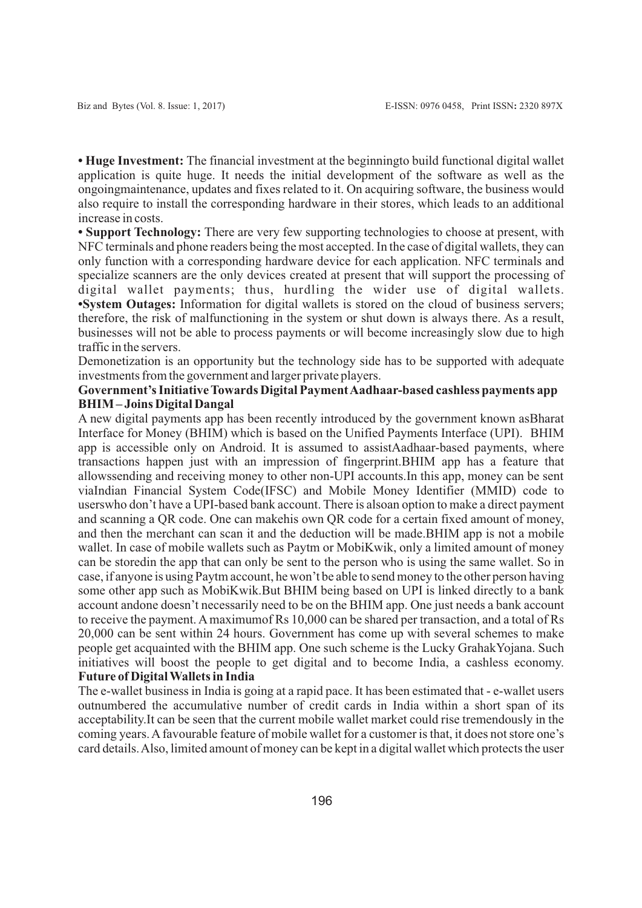**• Huge Investment:** The financial investment at the beginningto build functional digital wallet application is quite huge. It needs the initial development of the software as well as the ongoingmaintenance, updates and fixes related to it. On acquiring software, the business would also require to install the corresponding hardware in their stores, which leads to an additional increase in costs.

**• Support Technology:** There are very few supporting technologies to choose at present, with NFC terminals and phone readers being the most accepted. In the case of digital wallets, they can only function with a corresponding hardware device for each application. NFC terminals and specialize scanners are the only devices created at present that will support the processing of digital wallet payments; thus, hurdling the wider use of digital wallets. **• System Outages:** Information for digital wallets is stored on the cloud of business servers; therefore, the risk of malfunctioning in the system or shut down is always there. As a result, businesses will not be able to process payments or will become increasingly slow due to high traffic in the servers.

Demonetization is an opportunity but the technology side has to be supported with adequate investments from the government and larger private players.

### **Government's Initiative Towards Digital Payment Aadhaar-based cashless payments app BHIM – Joins Digital Dangal**

A new digital payments app has been recently introduced by the government known asBharat Interface for Money (BHIM) which is based on the Unified Payments Interface (UPI). BHIM app is accessible only on Android. It is assumed to assistAadhaar-based payments, where transactions happen just with an impression of fingerprint.BHIM app has a feature that allowssending and receiving money to other non-UPI accounts.In this app, money can be sent viaIndian Financial System Code(IFSC) and Mobile Money Identifier (MMID) code to userswho don't have a UPI-based bank account. There is alsoan option to make a direct payment and scanning a QR code. One can makehis own QR code for a certain fixed amount of money, and then the merchant can scan it and the deduction will be made.BHIM app is not a mobile wallet. In case of mobile wallets such as Paytm or MobiKwik, only a limited amount of money can be storedin the app that can only be sent to the person who is using the same wallet. So in case, if anyone is using Paytm account, he won't be able to send money to the other person having some other app such as MobiKwik.But BHIM being based on UPI is linked directly to a bank account andone doesn't necessarily need to be on the BHIM app. One just needs a bank account to receive the payment. Amaximumof Rs 10,000 can be shared per transaction, and a total of Rs 20,000 can be sent within 24 hours. Government has come up with several schemes to make people get acquainted with the BHIM app. One such scheme is the Lucky GrahakYojana. Such initiatives will boost the people to get digital and to become India, a cashless economy. **Future of Digital Wallets in India**

The e-wallet business in India is going at a rapid pace. It has been estimated that - e-wallet users outnumbered the accumulative number of credit cards in India within a short span of its acceptability.It can be seen that the current mobile wallet market could rise tremendously in the coming years. Afavourable feature of mobile wallet for a customer is that, it does not store one's card details. Also, limited amount of money can be kept in a digital wallet which protects the user